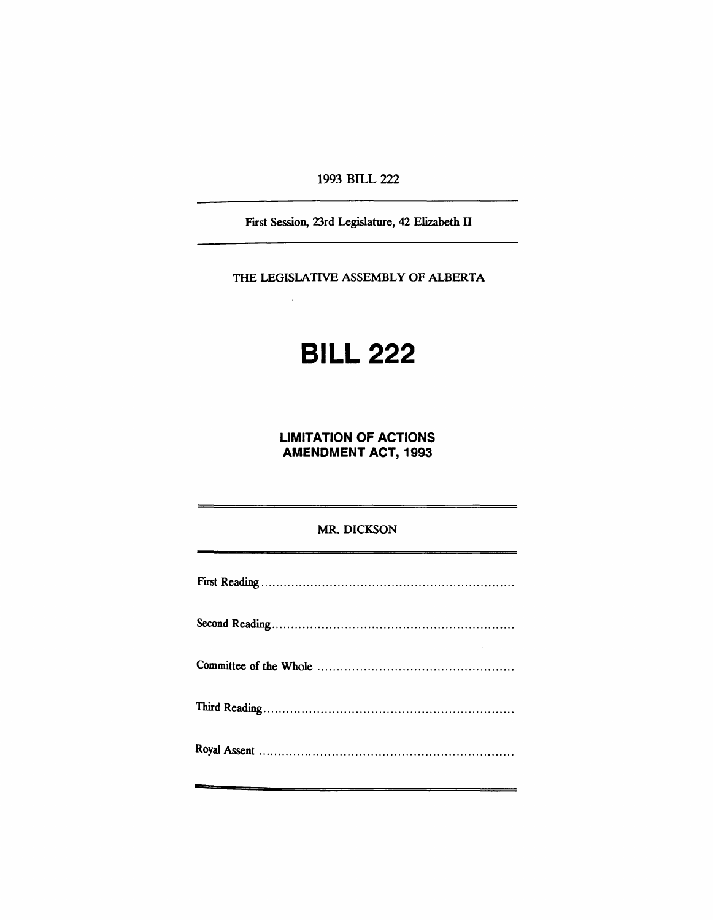1993 BILL 222

Fust Session, 23rd Legislature, 42 Elizabeth II

THE LEGISLATIVE ASSEMBLY OF ALBERTA

# **BILL 222**

**LIMITATION OF ACTIONS AMENDMENT ACT, 1993**

# MR. DICKSON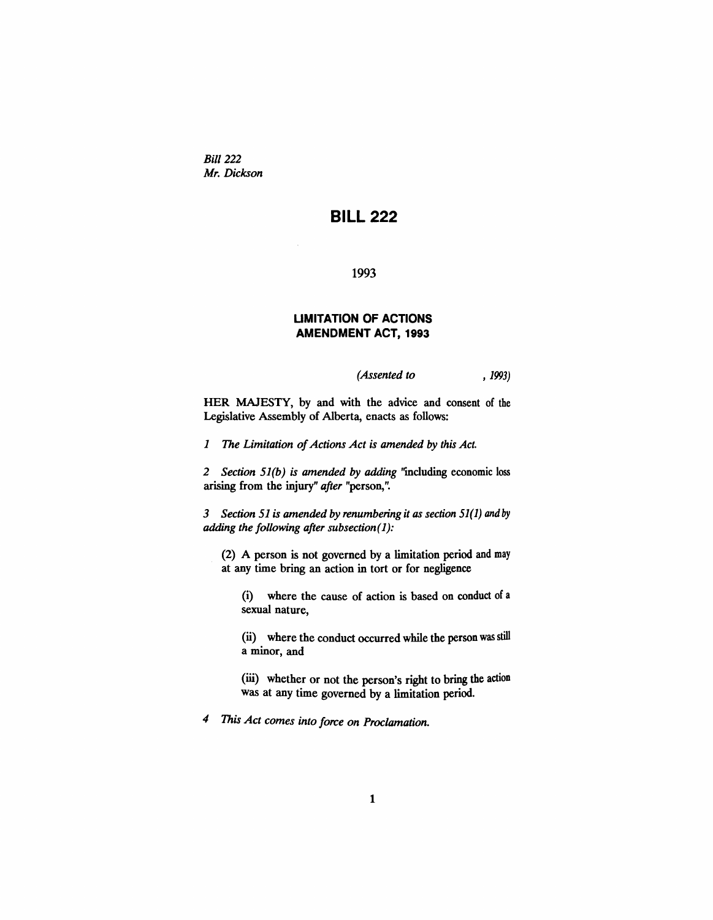*Bill* 222 *Mr. Dickson*

# **BILL 222**

1993

# **UMITATION OF ACTIONS AMENDMENT ACT, 1993**

*(Assented to* , 1993)

HER MAJESTY, by and with the advice and consent of the Legislative Assembly of Alberta, enacts as follows:

*1 The Limitation of Actions Act is amended by this Act.* 

*2 Section 51(b) is amended by adding* ''including economic loss arising from the injury" *after* "person,".

*3 Section* 51 *is amended by renumbering it as section* 51(1) *and* by *adding the following after subsection(l):*

(2) A person is not governed by a limitation period and may at any time bring an action in tort or for negligence

(i) where the cause of action is based on conduct of a sexual nature,

(ii) where the conduct occurred while the person was still a minor, and

(iii) whether or not the person's right to bring the action was at any time governed by a limitation period.

*4 This Act comes into force on Proclamation.*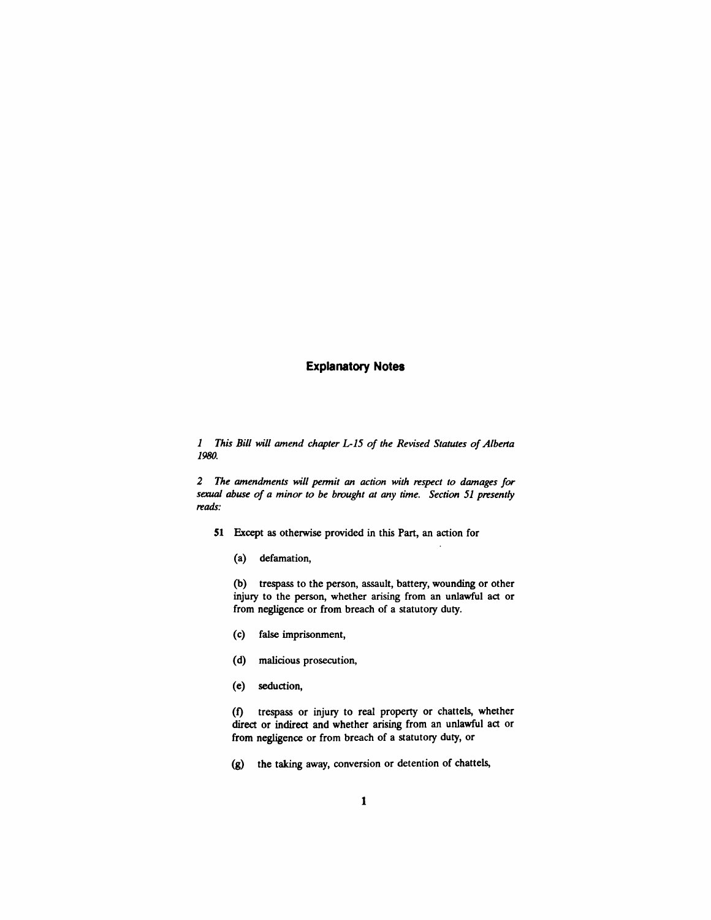#### **Explanatory Notes**

*1 This Bill will amend chapter L-15 of the Revised Statutes ofAlbena 1980.*

*2 The amendments will pennit an action with respect to damages for sexual abuse of a minor to be brought at any time. Section* 51 *presently reads:*

- 51 Except as otherwise provided in this Part, an action for
	- (a) defamation,

(b) trespass to the person, assault, battery, wounding or other injury to the person, whether arising from an unlawful act or from negligence or from breach of a statutory duty.

- (c) false imprisonment,
- (d) malicious prosecution,
- (e) seduction,

(I) trespass or injury to real property or chattels, whether direct or indirect and whether arising from an unlawful act or from negligence or from breach of a statutory duty, or

(g) the taking away, conversion or detention of chattels,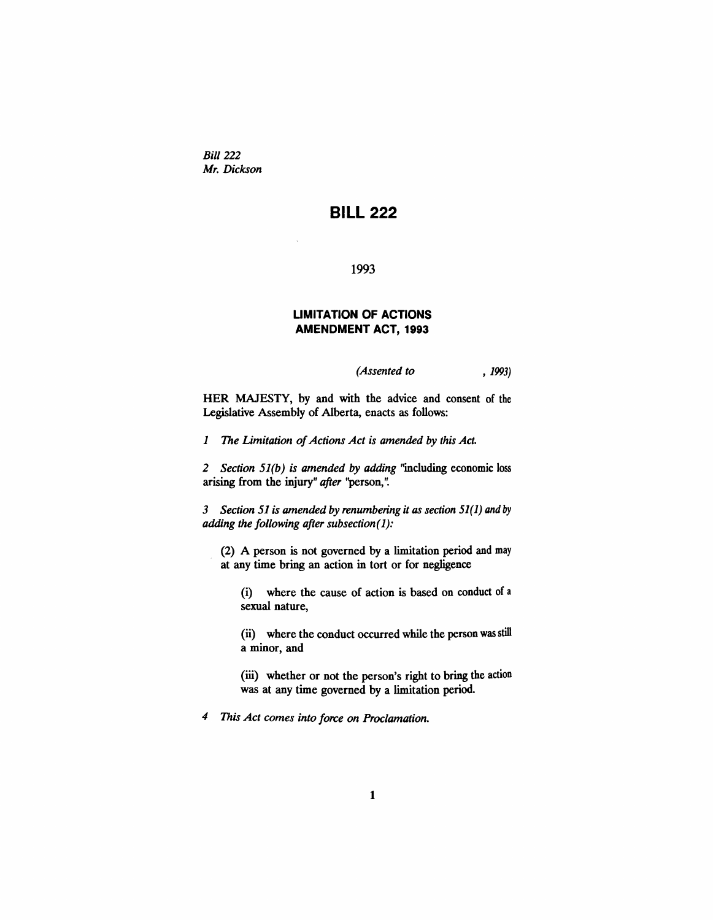*Bill 222 Mr. Dickson*

# **BILL 222**

1993

### **UMITATION OF ACTIONS AMENDMENT ACT, 1993**

*(Assented to* , 1993)

HER MAJESTY, by and with the advice and consent of the Legislative Assembly of Alberta, enacts as follows:

*1 The Limitation of Actions Act is amended by this Act.* 

*2 Section* 51*(b) is amended by adding* ''including economic loss arising from the injury" *after* "person,".

*3 Section* 51 *is amended by renumbering it as section* 51(1) *and* by *adding the following after subsection*(1):

(2) A person is not governed by a limitation period and may at any time bring an action in tort or for negligence

(i) where the cause of action is based on conduct of a sexual nature,

(ii) where the conduct occurred while the person was still a minor, and

(iii) whether or not the person's right to bring the action was at any time governed by a limitation period.

*4 This Act comes into force on Proclamation.*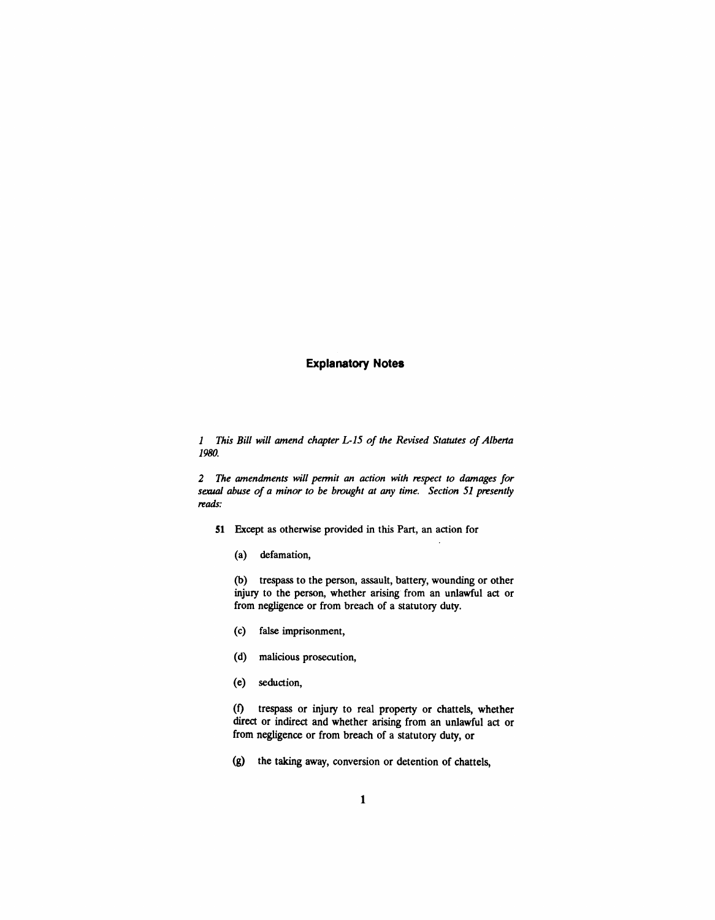# **Explanatory Notes**

*1 This Bill will amend chapter L-15 of the Revised Statutes ofAlberla 1980.*

*2 The amendments will pennit an action with respect to damages for sexual abuse of a minor to be brought at any time. Section* 51 *presently reads:*

- **51** Except as otherwise provided in this Part, an action for
	- (a) defamation,

(b) trespass to the person, assault, battery, wounding or other injury to the person, whether arising from an unlawful act or from negligence or from breach of a statutory duty.

- (c) false imprisonment,
- (d) malicious prosecution,
- (e) seduction,

(f) trespass or injury to real property or chattels, whether direct or indirect and whether arising from an unlawful act or from negligence or from breach of a statutory duty, or

(g) the taking away, conversion or detention of chattels,